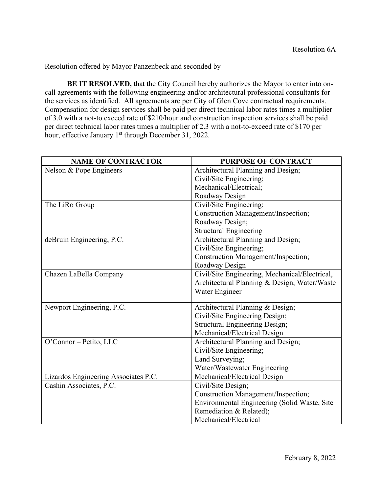**BE IT RESOLVED,** that the City Council hereby authorizes the Mayor to enter into oncall agreements with the following engineering and/or architectural professional consultants for the services as identified. All agreements are per City of Glen Cove contractual requirements. Compensation for design services shall be paid per direct technical labor rates times a multiplier of 3.0 with a not-to exceed rate of \$210/hour and construction inspection services shall be paid per direct technical labor rates times a multiplier of 2.3 with a not-to-exceed rate of \$170 per hour, effective January 1<sup>st</sup> through December 31, 2022.

| <b>NAME OF CONTRACTOR</b>            | PURPOSE OF CONTRACT                            |  |  |
|--------------------------------------|------------------------------------------------|--|--|
| Nelson & Pope Engineers              | Architectural Planning and Design;             |  |  |
|                                      | Civil/Site Engineering;                        |  |  |
|                                      | Mechanical/Electrical;                         |  |  |
|                                      | Roadway Design                                 |  |  |
| The LiRo Group                       | Civil/Site Engineering;                        |  |  |
|                                      | Construction Management/Inspection;            |  |  |
|                                      | Roadway Design;                                |  |  |
|                                      | <b>Structural Engineering</b>                  |  |  |
| deBruin Engineering, P.C.            | Architectural Planning and Design;             |  |  |
|                                      | Civil/Site Engineering;                        |  |  |
|                                      | Construction Management/Inspection;            |  |  |
|                                      | Roadway Design                                 |  |  |
| Chazen LaBella Company               | Civil/Site Engineering, Mechanical/Electrical, |  |  |
|                                      | Architectural Planning & Design, Water/Waste   |  |  |
|                                      | Water Engineer                                 |  |  |
|                                      |                                                |  |  |
| Newport Engineering, P.C.            | Architectural Planning & Design;               |  |  |
|                                      | Civil/Site Engineering Design;                 |  |  |
|                                      | <b>Structural Engineering Design;</b>          |  |  |
|                                      | Mechanical/Electrical Design                   |  |  |
| O'Connor - Petito, LLC               | Architectural Planning and Design;             |  |  |
|                                      | Civil/Site Engineering;                        |  |  |
|                                      | Land Surveying;                                |  |  |
|                                      | Water/Wastewater Engineering                   |  |  |
| Lizardos Engineering Associates P.C. | Mechanical/Electrical Design                   |  |  |
| Cashin Associates, P.C.              | Civil/Site Design;                             |  |  |
|                                      | Construction Management/Inspection;            |  |  |
|                                      | Environmental Engineering (Solid Waste, Site   |  |  |
|                                      | Remediation & Related);                        |  |  |
|                                      | Mechanical/Electrical                          |  |  |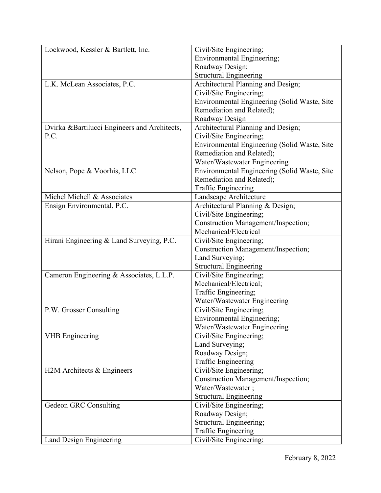| Lockwood, Kessler & Bartlett, Inc.           | Civil/Site Engineering;                      |  |  |
|----------------------------------------------|----------------------------------------------|--|--|
|                                              | <b>Environmental Engineering;</b>            |  |  |
|                                              | Roadway Design;                              |  |  |
|                                              | <b>Structural Engineering</b>                |  |  |
| L.K. McLean Associates, P.C.                 | Architectural Planning and Design;           |  |  |
|                                              | Civil/Site Engineering;                      |  |  |
|                                              | Environmental Engineering (Solid Waste, Site |  |  |
|                                              | Remediation and Related);                    |  |  |
|                                              | Roadway Design                               |  |  |
| Dvirka &Bartilucci Engineers and Architects, | Architectural Planning and Design;           |  |  |
| P.C.                                         | Civil/Site Engineering;                      |  |  |
|                                              | Environmental Engineering (Solid Waste, Site |  |  |
|                                              | Remediation and Related);                    |  |  |
|                                              | Water/Wastewater Engineering                 |  |  |
| Nelson, Pope & Voorhis, LLC                  | Environmental Engineering (Solid Waste, Site |  |  |
|                                              | Remediation and Related);                    |  |  |
|                                              | Traffic Engineering                          |  |  |
| Michel Michell & Associates                  | Landscape Architecture                       |  |  |
| Ensign Environmental, P.C.                   | Architectural Planning & Design;             |  |  |
|                                              | Civil/Site Engineering;                      |  |  |
|                                              | <b>Construction Management/Inspection;</b>   |  |  |
|                                              | Mechanical/Electrical                        |  |  |
| Hirani Engineering & Land Surveying, P.C.    | Civil/Site Engineering;                      |  |  |
|                                              | Construction Management/Inspection;          |  |  |
|                                              | Land Surveying;                              |  |  |
|                                              | <b>Structural Engineering</b>                |  |  |
| Cameron Engineering & Associates, L.L.P.     | Civil/Site Engineering;                      |  |  |
|                                              | Mechanical/Electrical;                       |  |  |
|                                              | Traffic Engineering;                         |  |  |
|                                              | Water/Wastewater Engineering                 |  |  |
| P.W. Grosser Consulting                      | Civil/Site Engineering;                      |  |  |
|                                              | <b>Environmental Engineering;</b>            |  |  |
|                                              | Water/Wastewater Engineering                 |  |  |
| <b>VHB</b> Engineering                       | Civil/Site Engineering;                      |  |  |
|                                              | Land Surveying;                              |  |  |
|                                              | Roadway Design;                              |  |  |
|                                              | <b>Traffic Engineering</b>                   |  |  |
| H2M Architects & Engineers                   | Civil/Site Engineering;                      |  |  |
|                                              | <b>Construction Management/Inspection;</b>   |  |  |
|                                              | Water/Wastewater;                            |  |  |
|                                              | <b>Structural Engineering</b>                |  |  |
| Gedeon GRC Consulting                        | Civil/Site Engineering;                      |  |  |
|                                              | Roadway Design;                              |  |  |
|                                              | Structural Engineering;                      |  |  |
|                                              | Traffic Engineering                          |  |  |
| Land Design Engineering                      | Civil/Site Engineering;                      |  |  |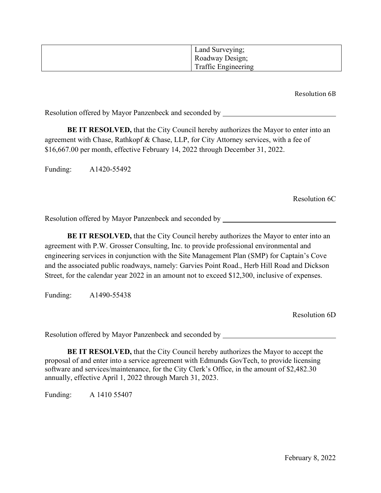| Land Surveying;            |
|----------------------------|
| Roadway Design;            |
| <b>Traffic Engineering</b> |

Resolution 6B

Resolution offered by Mayor Panzenbeck and seconded by \_\_\_\_\_\_\_\_\_\_\_\_\_\_\_\_\_\_\_\_\_\_\_\_\_\_

**BE IT RESOLVED,** that the City Council hereby authorizes the Mayor to enter into an agreement with Chase, Rathkopf & Chase, LLP, for City Attorney services, with a fee of \$16,667.00 per month, effective February 14, 2022 through December 31, 2022.

Funding: A1420-55492

Resolution 6C

Resolution offered by Mayor Panzenbeck and seconded by \_\_\_\_\_\_\_\_\_\_\_\_\_\_\_\_\_\_\_\_\_\_\_\_\_

**BE IT RESOLVED,** that the City Council hereby authorizes the Mayor to enter into an agreement with P.W. Grosser Consulting, Inc. to provide professional environmental and engineering services in conjunction with the Site Management Plan (SMP) for Captain's Cove and the associated public roadways, namely: Garvies Point Road., Herb Hill Road and Dickson Street, for the calendar year 2022 in an amount not to exceed \$12,300, inclusive of expenses.

Funding: A1490-55438

Resolution 6D

Resolution offered by Mayor Panzenbeck and seconded by

**BE IT RESOLVED,** that the City Council hereby authorizes the Mayor to accept the proposal of and enter into a service agreement with Edmunds GovTech, to provide licensing software and services/maintenance, for the City Clerk's Office, in the amount of \$2,482.30 annually, effective April 1, 2022 through March 31, 2023.

Funding: A 1410 55407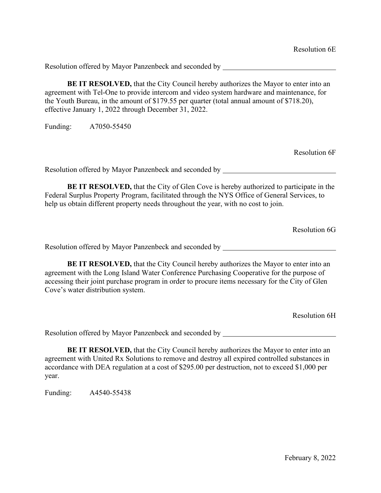**BE IT RESOLVED,** that the City Council hereby authorizes the Mayor to enter into an agreement with Tel-One to provide intercom and video system hardware and maintenance, for the Youth Bureau, in the amount of \$179.55 per quarter (total annual amount of \$718.20), effective January 1, 2022 through December 31, 2022.

Funding: A7050-55450

Resolution 6F

Resolution offered by Mayor Panzenbeck and seconded by

**BE IT RESOLVED,** that the City of Glen Cove is hereby authorized to participate in the Federal Surplus Property Program, facilitated through the NYS Office of General Services, to help us obtain different property needs throughout the year, with no cost to join.

Resolution 6G

Resolution offered by Mayor Panzenbeck and seconded by

**BE IT RESOLVED,** that the City Council hereby authorizes the Mayor to enter into an agreement with the Long Island Water Conference Purchasing Cooperative for the purpose of accessing their joint purchase program in order to procure items necessary for the City of Glen Cove's water distribution system.

Resolution 6H

Resolution offered by Mayor Panzenbeck and seconded by

**BE IT RESOLVED,** that the City Council hereby authorizes the Mayor to enter into an agreement with United Rx Solutions to remove and destroy all expired controlled substances in accordance with DEA regulation at a cost of \$295.00 per destruction, not to exceed \$1,000 per year.

Funding: A4540-55438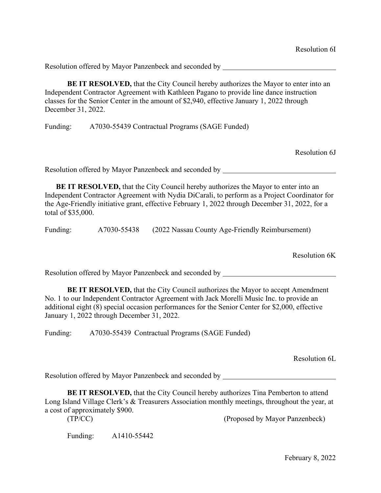**BE IT RESOLVED,** that the City Council hereby authorizes the Mayor to enter into an Independent Contractor Agreement with Kathleen Pagano to provide line dance instruction classes for the Senior Center in the amount of \$2,940, effective January 1, 2022 through December 31, 2022.

Funding: A7030-55439 Contractual Programs (SAGE Funded)

Resolution 6J

Resolution offered by Mayor Panzenbeck and seconded by

**BE IT RESOLVED,** that the City Council hereby authorizes the Mayor to enter into an Independent Contractor Agreement with Nydia DiCarali, to perform as a Project Coordinator for the Age-Friendly initiative grant, effective February 1, 2022 through December 31, 2022, for a total of \$35,000.

Funding: A7030-55438 (2022 Nassau County Age-Friendly Reimbursement)

Resolution 6K

Resolution offered by Mayor Panzenbeck and seconded by

**BE IT RESOLVED,** that the City Council authorizes the Mayor to accept Amendment No. 1 to our Independent Contractor Agreement with Jack Morelli Music Inc. to provide an additional eight (8) special occasion performances for the Senior Center for \$2,000, effective January 1, 2022 through December 31, 2022.

Funding: A7030-55439 Contractual Programs (SAGE Funded)

Resolution 6L

Resolution offered by Mayor Panzenbeck and seconded by \_\_\_\_\_\_\_\_\_\_\_\_\_\_\_\_\_\_\_\_\_\_\_\_\_

**BE IT RESOLVED,** that the City Council hereby authorizes Tina Pemberton to attend Long Island Village Clerk's & Treasurers Association monthly meetings, throughout the year, at a cost of approximately \$900.

(TP/CC) (Proposed by Mayor Panzenbeck)

Funding: A1410-55442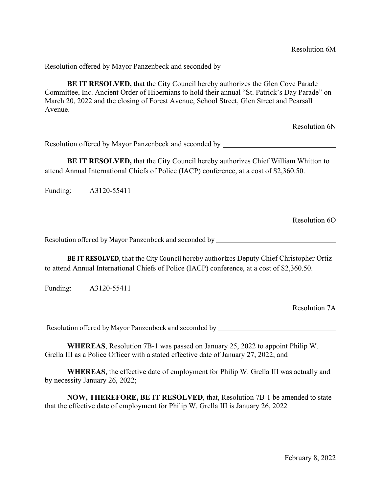**BE IT RESOLVED,** that the City Council hereby authorizes the Glen Cove Parade Committee, Inc. Ancient Order of Hibernians to hold their annual "St. Patrick's Day Parade" on March 20, 2022 and the closing of Forest Avenue, School Street, Glen Street and Pearsall Avenue.

Resolution 6N

Resolution offered by Mayor Panzenbeck and seconded by

**BE IT RESOLVED,** that the City Council hereby authorizes Chief William Whitton to attend Annual International Chiefs of Police (IACP) conference, at a cost of \$2,360.50.

Funding: A3120-55411

Resolution 6O

Resolution offered by Mayor Panzenbeck and seconded by \_\_\_\_\_\_\_\_\_\_\_\_\_\_\_\_\_\_\_\_\_\_\_\_\_

**BE IT RESOLVED,** that the City Council hereby authorizes Deputy Chief Christopher Ortiz to attend Annual International Chiefs of Police (IACP) conference, at a cost of \$2,360.50.

Funding: A3120-55411

Resolution 7A

Resolution offered by Mayor Panzenbeck and seconded by \_\_\_\_\_\_\_\_\_\_\_\_\_\_\_\_\_\_\_\_\_\_\_\_\_

**WHEREAS**, Resolution 7B-1 was passed on January 25, 2022 to appoint Philip W. Grella III as a Police Officer with a stated effective date of January 27, 2022; and

**WHEREAS**, the effective date of employment for Philip W. Grella III was actually and by necessity January 26, 2022;

**NOW, THEREFORE, BE IT RESOLVED**, that, Resolution 7B-1 be amended to state that the effective date of employment for Philip W. Grella III is January 26, 2022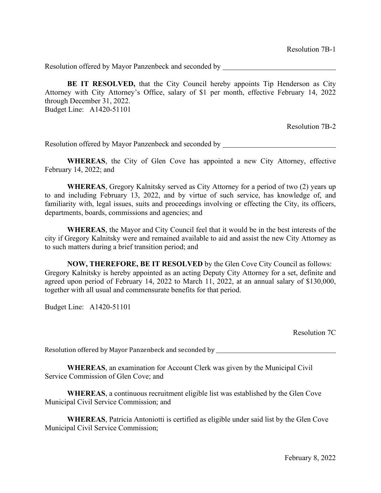**BE IT RESOLVED,** that the City Council hereby appoints Tip Henderson as City Attorney with City Attorney's Office, salary of \$1 per month, effective February 14, 2022 through December 31, 2022. Budget Line: A1420-51101

Resolution 7B-2

Resolution offered by Mayor Panzenbeck and seconded by

**WHEREAS**, the City of Glen Cove has appointed a new City Attorney, effective February 14, 2022; and

**WHEREAS**, Gregory Kalnitsky served as City Attorney for a period of two (2) years up to and including February 13, 2022, and by virtue of such service, has knowledge of, and familiarity with, legal issues, suits and proceedings involving or effecting the City, its officers, departments, boards, commissions and agencies; and

**WHEREAS**, the Mayor and City Council feel that it would be in the best interests of the city if Gregory Kalnitsky were and remained available to aid and assist the new City Attorney as to such matters during a brief transition period; and

 **NOW, THEREFORE, BE IT RESOLVED** by the Glen Cove City Council as follows: Gregory Kalnitsky is hereby appointed as an acting Deputy City Attorney for a set, definite and agreed upon period of February 14, 2022 to March 11, 2022, at an annual salary of \$130,000, together with all usual and commensurate benefits for that period.

Budget Line: A1420-51101

Resolution 7C

Resolution offered by Mayor Panzenbeck and seconded by

**WHEREAS**, an examination for Account Clerk was given by the Municipal Civil Service Commission of Glen Cove; and

**WHEREAS**, a continuous recruitment eligible list was established by the Glen Cove Municipal Civil Service Commission; and

**WHEREAS**, Patricia Antoniotti is certified as eligible under said list by the Glen Cove Municipal Civil Service Commission;